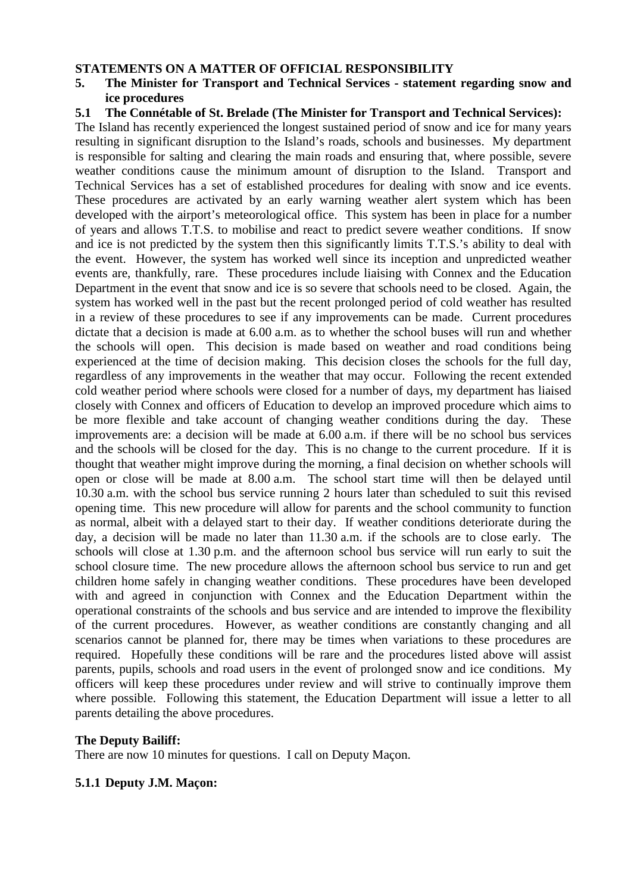#### **STATEMENTS ON A MATTER OF OFFICIAL RESPONSIBILITY**

- **5. The Minister for Transport and Technical Services statement regarding snow and ice procedures**
- **5.1 The Connétable of St. Brelade (The Minister for Transport and Technical Services):**

The Island has recently experienced the longest sustained period of snow and ice for many years resulting in significant disruption to the Island's roads, schools and businesses. My department is responsible for salting and clearing the main roads and ensuring that, where possible, severe weather conditions cause the minimum amount of disruption to the Island. Transport and Technical Services has a set of established procedures for dealing with snow and ice events. These procedures are activated by an early warning weather alert system which has been developed with the airport's meteorological office. This system has been in place for a number of years and allows T.T.S. to mobilise and react to predict severe weather conditions. If snow and ice is not predicted by the system then this significantly limits T.T.S.'s ability to deal with the event. However, the system has worked well since its inception and unpredicted weather events are, thankfully, rare. These procedures include liaising with Connex and the Education Department in the event that snow and ice is so severe that schools need to be closed. Again, the system has worked well in the past but the recent prolonged period of cold weather has resulted in a review of these procedures to see if any improvements can be made. Current procedures dictate that a decision is made at 6.00 a.m. as to whether the school buses will run and whether the schools will open. This decision is made based on weather and road conditions being experienced at the time of decision making. This decision closes the schools for the full day, regardless of any improvements in the weather that may occur. Following the recent extended cold weather period where schools were closed for a number of days, my department has liaised closely with Connex and officers of Education to develop an improved procedure which aims to be more flexible and take account of changing weather conditions during the day. These improvements are: a decision will be made at 6.00 a.m. if there will be no school bus services and the schools will be closed for the day. This is no change to the current procedure. If it is thought that weather might improve during the morning, a final decision on whether schools will open or close will be made at 8.00 a.m. The school start time will then be delayed until 10.30 a.m. with the school bus service running 2 hours later than scheduled to suit this revised opening time. This new procedure will allow for parents and the school community to function as normal, albeit with a delayed start to their day. If weather conditions deteriorate during the day, a decision will be made no later than 11.30 a.m. if the schools are to close early. The schools will close at 1.30 p.m. and the afternoon school bus service will run early to suit the school closure time. The new procedure allows the afternoon school bus service to run and get children home safely in changing weather conditions. These procedures have been developed with and agreed in conjunction with Connex and the Education Department within the operational constraints of the schools and bus service and are intended to improve the flexibility of the current procedures. However, as weather conditions are constantly changing and all scenarios cannot be planned for, there may be times when variations to these procedures are required. Hopefully these conditions will be rare and the procedures listed above will assist parents, pupils, schools and road users in the event of prolonged snow and ice conditions. My officers will keep these procedures under review and will strive to continually improve them where possible. Following this statement, the Education Department will issue a letter to all parents detailing the above procedures.

#### **The Deputy Bailiff:**

There are now 10 minutes for questions. I call on Deputy Maçon.

#### **5.1.1 Deputy J.M. Maçon:**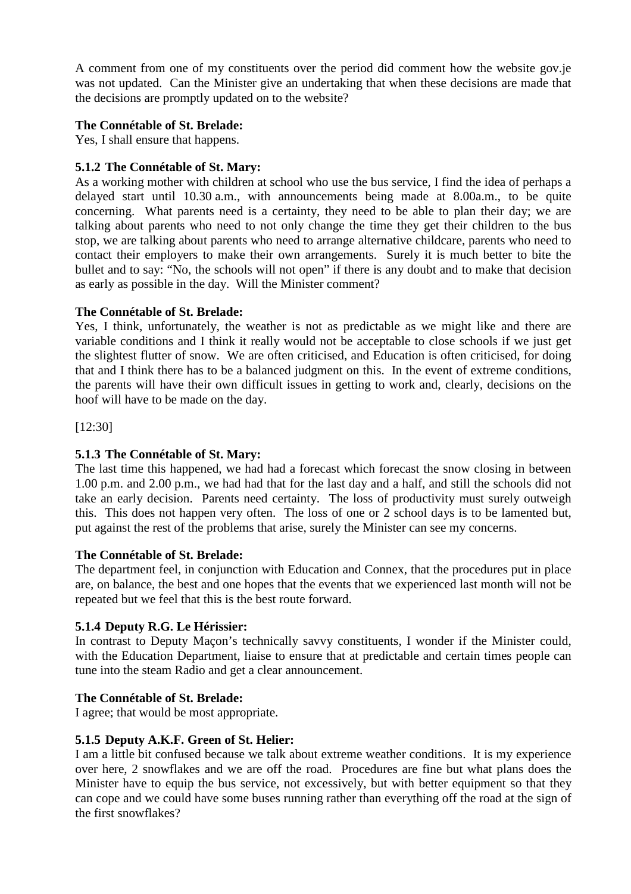A comment from one of my constituents over the period did comment how the website gov.je was not updated. Can the Minister give an undertaking that when these decisions are made that the decisions are promptly updated on to the website?

# **The Connétable of St. Brelade:**

Yes, I shall ensure that happens.

## **5.1.2 The Connétable of St. Mary:**

As a working mother with children at school who use the bus service, I find the idea of perhaps a delayed start until 10.30 a.m., with announcements being made at 8.00a.m., to be quite concerning. What parents need is a certainty, they need to be able to plan their day; we are talking about parents who need to not only change the time they get their children to the bus stop, we are talking about parents who need to arrange alternative childcare, parents who need to contact their employers to make their own arrangements. Surely it is much better to bite the bullet and to say: "No, the schools will not open" if there is any doubt and to make that decision as early as possible in the day. Will the Minister comment?

### **The Connétable of St. Brelade:**

Yes, I think, unfortunately, the weather is not as predictable as we might like and there are variable conditions and I think it really would not be acceptable to close schools if we just get the slightest flutter of snow. We are often criticised, and Education is often criticised, for doing that and I think there has to be a balanced judgment on this. In the event of extreme conditions, the parents will have their own difficult issues in getting to work and, clearly, decisions on the hoof will have to be made on the day.

[12:30]

# **5.1.3 The Connétable of St. Mary:**

The last time this happened, we had had a forecast which forecast the snow closing in between 1.00 p.m. and 2.00 p.m., we had had that for the last day and a half, and still the schools did not take an early decision. Parents need certainty. The loss of productivity must surely outweigh this. This does not happen very often. The loss of one or 2 school days is to be lamented but, put against the rest of the problems that arise, surely the Minister can see my concerns.

#### **The Connétable of St. Brelade:**

The department feel, in conjunction with Education and Connex, that the procedures put in place are, on balance, the best and one hopes that the events that we experienced last month will not be repeated but we feel that this is the best route forward.

# **5.1.4 Deputy R.G. Le Hérissier:**

In contrast to Deputy Maçon's technically savvy constituents, I wonder if the Minister could, with the Education Department, liaise to ensure that at predictable and certain times people can tune into the steam Radio and get a clear announcement.

#### **The Connétable of St. Brelade:**

I agree; that would be most appropriate.

### **5.1.5 Deputy A.K.F. Green of St. Helier:**

I am a little bit confused because we talk about extreme weather conditions. It is my experience over here, 2 snowflakes and we are off the road. Procedures are fine but what plans does the Minister have to equip the bus service, not excessively, but with better equipment so that they can cope and we could have some buses running rather than everything off the road at the sign of the first snowflakes?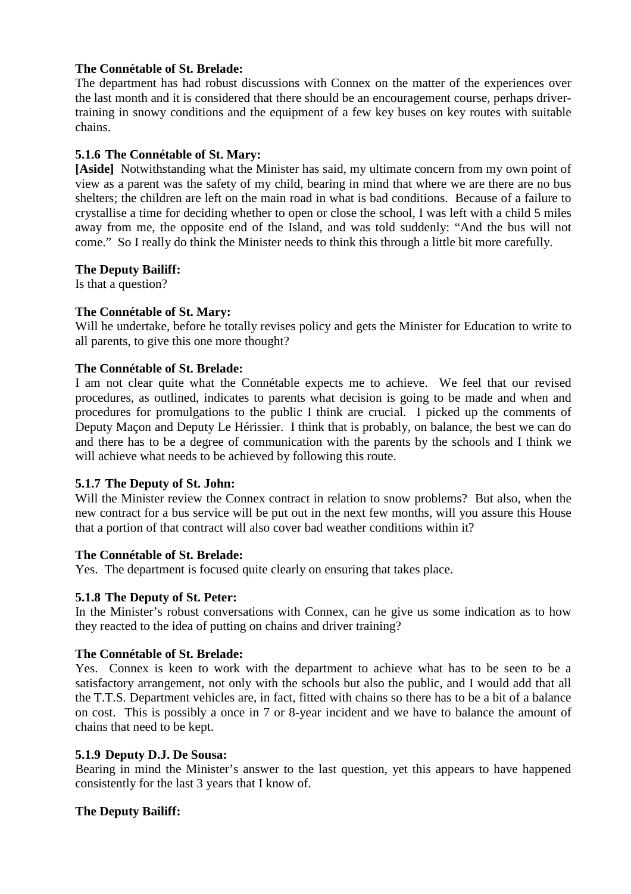## **The Connétable of St. Brelade:**

The department has had robust discussions with Connex on the matter of the experiences over the last month and it is considered that there should be an encouragement course, perhaps drivertraining in snowy conditions and the equipment of a few key buses on key routes with suitable chains.

## **5.1.6 The Connétable of St. Mary:**

**[Aside]** Notwithstanding what the Minister has said, my ultimate concern from my own point of view as a parent was the safety of my child, bearing in mind that where we are there are no bus shelters; the children are left on the main road in what is bad conditions. Because of a failure to crystallise a time for deciding whether to open or close the school, I was left with a child 5 miles away from me, the opposite end of the Island, and was told suddenly: "And the bus will not come." So I really do think the Minister needs to think this through a little bit more carefully.

#### **The Deputy Bailiff:**

Is that a question?

### **The Connétable of St. Mary:**

Will he undertake, before he totally revises policy and gets the Minister for Education to write to all parents, to give this one more thought?

#### **The Connétable of St. Brelade:**

I am not clear quite what the Connétable expects me to achieve. We feel that our revised procedures, as outlined, indicates to parents what decision is going to be made and when and procedures for promulgations to the public I think are crucial. I picked up the comments of Deputy Maçon and Deputy Le Hérissier. I think that is probably, on balance, the best we can do and there has to be a degree of communication with the parents by the schools and I think we will achieve what needs to be achieved by following this route.

#### **5.1.7 The Deputy of St. John:**

Will the Minister review the Connex contract in relation to snow problems? But also, when the new contract for a bus service will be put out in the next few months, will you assure this House that a portion of that contract will also cover bad weather conditions within it?

#### **The Connétable of St. Brelade:**

Yes. The department is focused quite clearly on ensuring that takes place.

#### **5.1.8 The Deputy of St. Peter:**

In the Minister's robust conversations with Connex, can he give us some indication as to how they reacted to the idea of putting on chains and driver training?

#### **The Connétable of St. Brelade:**

Yes. Connex is keen to work with the department to achieve what has to be seen to be a satisfactory arrangement, not only with the schools but also the public, and I would add that all the T.T.S. Department vehicles are, in fact, fitted with chains so there has to be a bit of a balance on cost. This is possibly a once in 7 or 8-year incident and we have to balance the amount of chains that need to be kept.

#### **5.1.9 Deputy D.J. De Sousa:**

Bearing in mind the Minister's answer to the last question, yet this appears to have happened consistently for the last 3 years that I know of.

#### **The Deputy Bailiff:**